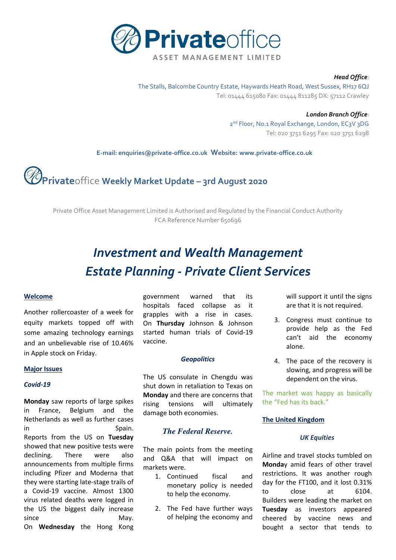

#### *Head Office*:

The Stalls, Balcombe Country Estate, Haywards Heath Road, West Sussex, RH17 6QJ Tel: 01444 615080 Fax: 01444 811285 DX: 57112 Crawley

> *London Branch Office*: 2<sup>nd</sup> Floor, No.1 Royal Exchange, London, EC3V 3DG Tel: 020 3751 6295 Fax: 020 3751 6298

 **E-mail[: enquiries@private-office.co.uk](mailto:enquiries@private-office.co.uk) Website: [www.private-office.co.uk](http://www.private-office.co.uk/)**

# **Private**office **Weekly Market Update – 3rd August 2020**

Private Office Asset Management Limited is Authorised and Regulated by the Financial Conduct Authority FCA Reference Number 650696

# *Investment and Wealth Management Estate Planning - Private Client Services*

#### **Welcome**

Another rollercoaster of a week for equity markets topped off with some amazing technology earnings and an unbelievable rise of 10.46% in Apple stock on Friday.

#### **Major Issues**

#### *Covid-19*

**Monday** saw reports of large spikes in France, Belgium and the Netherlands as well as further cases in Spain. Reports from the US on **Tuesday**  showed that new positive tests were declining. There were also announcements from multiple firms including Pfizer and Moderna that they were starting late-stage trails of a Covid-19 vaccine. Almost 1300 virus related deaths were logged in the US the biggest daily increase since May. On **Wednesday** the Hong Kong

government warned that its hospitals faced collapse as it grapples with a rise in cases. On **Thursday** Johnson & Johnson started human trials of Covid-19 vaccine.

#### *Geopolitics*

The US consulate in Chengdu was shut down in retaliation to Texas on **Monday** and there are concerns that rising tensions will ultimately damage both economies.

# *The Federal Reserve.*

The main points from the meeting and Q&A that will impact on markets were.

- 1. Continued fiscal and monetary policy is needed to help the economy.
- 2. The Fed have further ways of helping the economy and

will support it until the signs are that it is not required.

- 3. Congress must continue to provide help as the Fed can't aid the economy alone.
- 4. The pace of the recovery is slowing, and progress will be dependent on the virus.

The market was happy as basically the "Fed has its back."

#### **The United Kingdom**

#### *UK Equities*

Airline and travel stocks tumbled on **Monda**y amid fears of other travel restrictions. It was another rough day for the FT100, and it lost 0.31% to close at 6104. Builders were leading the market on **Tuesday** as investors appeared cheered by vaccine news and bought a sector that tends to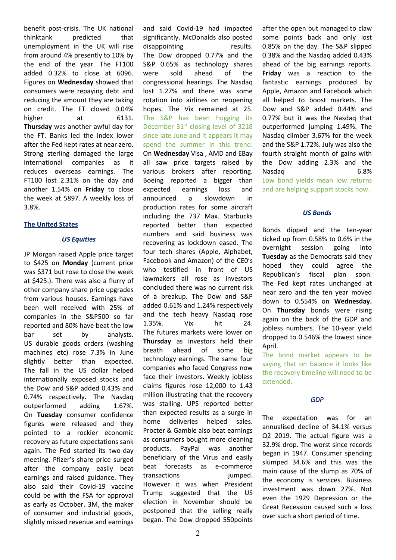benefit post-crisis. The UK national thinktank predicted that unemployment in the UK will rise from around 4% presently to 10% by the end of the year. The FT100 added 0.32% to close at 6096. Figures on **Wednesday** showed that consumers were repaying debt and reducing the amount they are taking on credit. The FT closed 0.04% higher at 6131. **Thursday** was another awful day for the FT. Banks led the index lower after the Fed kept rates at near zero. Strong sterling damaged the large international companies as it reduces overseas earnings. The FT100 lost 2.31% on the day and another 1.54% on **Friday** to close the week at 5897. A weekly loss of 3.8%.

## **The United States**

#### *US Equities*

JP Morgan raised Apple price target to \$425 on **Monday** (current price was \$371 but rose to close the week at \$425.). There was also a flurry of other company share price upgrades from various houses. Earnings have been well received with 25% of companies in the S&P500 so far reported and 80% have beat the low bar set by analysts. US durable goods orders (washing machines etc) rose 7.3% in June slightly better than expected. The fall in the US dollar helped internationally exposed stocks and the Dow and S&P added 0.43% and 0.74% respectively. The Nasdaq outperformed adding 1.67%. On **Tuesday** consumer confidence figures were released and they pointed to a rockier economic recovery as future expectations sank again. The Fed started its two-day meeting. Pfizer's share price surged after the company easily beat earnings and raised guidance. They also said their Covid-19 vaccine could be with the FSA for approval as early as October. 3M, the maker of consumer and industrial goods, slightly missed revenue and earnings and said Covid-19 had impacted significantly. McDonalds also posted disappointing results. The Dow dropped 0.77% and the S&P 0.65% as technology shares were sold ahead of the congressional hearings. The Nasdaq lost 1.27% and there was some rotation into airlines on reopening hopes. The Vix remained at 25. The S&P has been hugging its December 31<sup>st</sup> closing level of 3218 since late June and it appears it may spend the summer in this trend. On **Wednesday** Visa , AMD and EBay all saw price targets raised by various brokers after reporting. Boeing reported a bigger than expected earnings loss and announced a slowdown in production rates for some aircraft including the 737 Max. Starbucks reported better than expected numbers and said business was recovering as lockdown eased. The four tech shares (Apple, Alphabet, Facebook and Amazon) of the CE0's who testified in front of US lawmakers all rose as investors concluded there was no current risk of a breakup. The Dow and S&P added 0.61% and 1.24% respectively and the tech heavy Nasdaq rose 1.35%. Vix hit 24. The futures markets were lower on **Thursday** as investors held their breath ahead of some big technology earnings. The same four companies who faced Congress now face their investors. Weekly jobless claims figures rose 12,000 to 1.43 million illustrating that the recovery was stalling. UPS reported better than expected results as a surge in home deliveries helped sales. Procter & Gamble also beat earnings as consumers bought more cleaning products. PayPal was another beneficiary of the Virus and easily beat forecasts as e-commerce transactions jumped. However it was when President Trump suggested that the US election in November should be postponed that the selling really began. The Dow dropped 550points

after the open but managed to claw some points back and only lost 0.85% on the day. The S&P slipped 0.38% and the Nasdaq added 0.43% ahead of the big earnings reports. **Friday** was a reaction to the fantastic earnings produced by Apple, Amazon and Facebook which all helped to boost markets. The Dow and S&P added 0.44% and 0.77% but it was the Nasdaq that outperformed jumping 1.49%. The Nasdaq climber 3.67% for the week and the S&P 1.72%. July was also the fourth straight month of gains with the Dow adding 2.3% and the Nasdaq 6.8% Low bond yields mean low returns and are helping support stocks now.

## *US Bonds*

Bonds dipped and the ten-year ticked up from 0.58% to 0.6% in the overnight session going into **Tuesday** as the Democrats said they hoped they could agree the Republican's fiscal plan soon. The Fed kept rates unchanged at near zero and the ten year moved down to 0.554% on **Wednesday.**  On **Thursday** bonds were rising again on the back of the GDP and jobless numbers. The 10-year yield dropped to 0.546% the lowest since April.

The bond market appears to be saying that on balance it looks like the recovery timeline will need to be extended.

# *GDP*

The expectation was for an annualised decline of 34.1% versus Q2 2019. The actual figure was a 32.9% drop. The worst since records began in 1947. Consumer spending slumped 34.6% and this was the main cause of the slump as 70% of the economy is services. Business investment was down 27%. Not even the 1929 Depression or the Great Recession caused such a loss over such a short period of time.